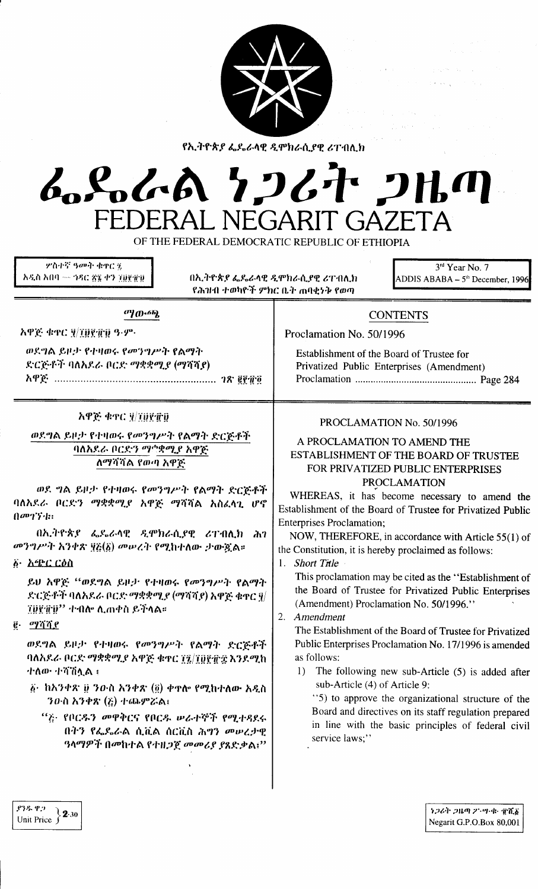

የኢትዮጵያ ፌዴራላዊ ዲሞክራሲያዊ ሪፐብሊክ

# んぺんへん クンムヤ フルの FEDERAL NEGARIT GAZETA

OF THE FEDERAL DEMOCRATIC REPUBLIC OF ETHIOPIA

**ምስተኛ ዓመት ቁ**ኖር ž አዲስ አበባ — ኅዳር ፳፯ ቀን ፲፱፻፹፱

አዋጅ ቁጥር ሃ/ፐሀየብነን ዓ.ም.

በኢትዮጵያ ፌዴራላዊ ዲሞክራሲያዊ ሪፐብሊክ የሕዝብ ተወካዮች ምክር ቤት ጠባቂነት የወጣ

3rd Year No. 7 ADDIS ABABA –  $5<sup>th</sup>$  December, 1996

## **CONTENTS**

Proclamation No. 50/1996

Establishment of the Board of Trustee for Privatized Public Enterprises (Amendment) 

#### አዋጅ ቁተር ፶/፲፱፻፹፱

ወደግል ይዞታ የተዛወሩ የመንግሥት የልማት

ድርጅቶች ባለአደራ ቦርድ ማቋቋሚያ (ማሻሻያ)

ወደግል ይዞታ የተዛወሩ የመንግሥት የልማት ድርጅቶች

ማውጫ

ባለአደራ ቦርድን ማ^ቋሚያ አዋጅ ለማሻሻል የወጣ አዋጅ

ወደ ግል ይዞታ የተዛወሩ የመንግሥት የልማት ድርጅቶች ባለአደራ ቦርድን ማቋቋሚያ አዋጅ ማሻሻል አስፈላጊ ሆኖ  $(1002)^{12}$ 

በኢትዮጵያ ፌዴራላዊ ዲሞክራሲያዊ ሪፐብሊክ ሕገ መንግሥት አንቀጽ ፶፩(፩) መሠረት የሚከተለው ታውጇል።

δ· *ኢጭር ርዕ*ስ

ይህ አዋጅ "ወደግል ይዞታ የተዛወሩ የመንግሥት የልማት ድርጅቶች ባለአደራ ቦርድ ማቋቋሚያ (ማሻሻያ) አዋጅ ቁተር ፃ/ *TÜŸ`iFÜ'' ተ፡በስ*፡ ሊጠቀስ ይችላል።

 $\vec{e}$ . *orang* 

ወደግል ይዞታ የተዛወሩ የመንግሥት የልማት ድርጅቶች ባለአደራ ቦርድ ማቋቋሚያ አዋጅ ቁዋር ፲፯/፲፱፻፹፰ እንደሚከ ተለው ተሻሽሏል ፣

- ፩· ከአንቀጽ ፱ ንውስ አንቀጽ (፬) ቀዋሎ የሚከተለው አዲስ ን $0$ ·ስ አንቀጽ (ξ) ተጨምሯል፤
	- "ሯ የቦርዱን መዋቅርና የቦርዱ ሠራተኞች የሚተዳደሩ በትን የፌዶራል ሲቪል ሰርቪስ ሕግን መሠረታዊ 'ዓላማዎች በመከተል የተዘጋጀ መመሪያ ያጸድቃል፤''

#### PROCLAMATION No. 50/1996

#### A PROCLAMATION TO AMEND THE ESTABLISHMENT OF THE BOARD OF TRUSTEE FOR PRIVATIZED PUBLIC ENTERPRISES **PROCLAMATION**

WHEREAS, it has become necessary to amend the Establishment of the Board of Trustee for Privatized Public **Enterprises Proclamation;** 

NOW, THEREFORE, in accordance with Article 55(1) of the Constitution, it is hereby proclaimed as follows:

1. Short Title

This proclamation may be cited as the "Establishment of the Board of Trustee for Privatized Public Enterprises (Amendment) Proclamation No. 50/1996."

2. Amendment

The Establishment of the Board of Trustee for Privatized Public Enterprises Proclamation No. 17/1996 is amended as follows:

1) The following new sub-Article (5) is added after sub-Article (4) of Article 9:

"5) to approve the organizational structure of the Board and directives on its staff regulation prepared in line with the basic principles of federal civil service laws;"